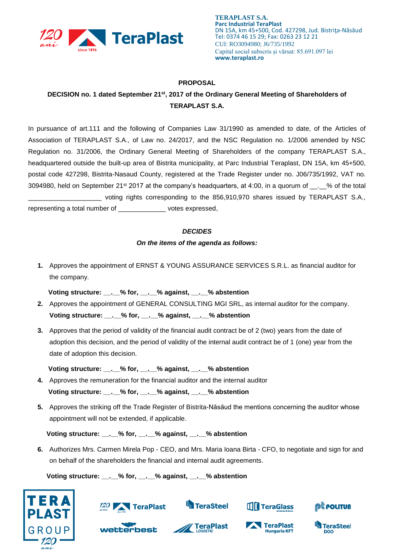

## **PROPOSAL**

## **DECISION no. 1 dated September 21st, 2017 of the Ordinary General Meeting of Shareholders of TERAPLAST S.A.**

In pursuance of art.111 and the following of Companies Law 31/1990 as amended to date, of the Articles of Association of TERAPLAST S.A., of Law no. 24/2017, and the NSC Regulation no. 1/2006 amended by NSC Regulation no. 31/2006, the Ordinary General Meeting of Shareholders of the company TERAPLAST S.A., headquartered outside the built-up area of Bistrita municipality, at Parc Industrial Teraplast, DN 15A, km 45+500, postal code 427298, Bistrita-Nasaud County, registered at the Trade Register under no. J06/735/1992, VAT no. 3094980, held on September 21<sup>st</sup> 2017 at the company's headquarters, at 4:00, in a quorum of  $\ldots$  % of the total \_\_\_\_\_\_\_\_\_\_\_\_\_\_\_\_\_\_\_\_ voting rights corresponding to the 856,910,970 shares issued by TERAPLAST S.A., representing a total number of \_\_\_\_\_\_\_\_\_\_\_\_\_ votes expressed,

## *DECIDES*

## *On the items of the agenda as follows:*

**1.** Approves the appointment of ERNST & YOUNG ASSURANCE SERVICES S.R.L. as financial auditor for the company.

 **Voting structure: \_\_.\_\_% for, \_\_.\_\_% against, \_\_.\_\_% abstention**

- **2.** Approves the appointment of GENERAL CONSULTING MGI SRL, as internal auditor for the company. **Voting structure: \_\_.\_\_% for, \_\_.\_\_% against, \_\_.\_\_% abstention**
- **3.** Approves that the period of validity of the financial audit contract be of 2 (two) years from the date of adoption this decision, and the period of validity of the internal audit contract be of 1 (one) year from the date of adoption this decision.

 **Voting structure: \_\_.\_\_% for, \_\_.\_\_% against, \_\_.\_\_% abstention**

- **4.** Approves the remuneration for the financial auditor and the internal auditor  **Voting structure: \_\_.\_\_% for, \_\_.\_\_% against, \_\_.\_\_% abstention**
- **5.** Approves the striking off the Trade Register of Bistrita-Năsăud the mentions concerning the auditor whose appointment will not be extended, if applicable.

 **Voting structure: \_\_.\_\_% for, \_\_.\_\_% against, \_\_.\_\_% abstention**

**6.** Authorizes Mrs. Carmen Mirela Pop - CEO, and Mrs. Maria Ioana Birta - CFO, to negotiate and sign for and on behalf of the shareholders the financial and internal audit agreements.

 **Voting structure: \_\_.\_\_% for, \_\_.\_\_% against, \_\_.\_\_% abstention**





wetterbest



**TeraPlast** 



**Hungaria KFT** 

**TeraPlast**